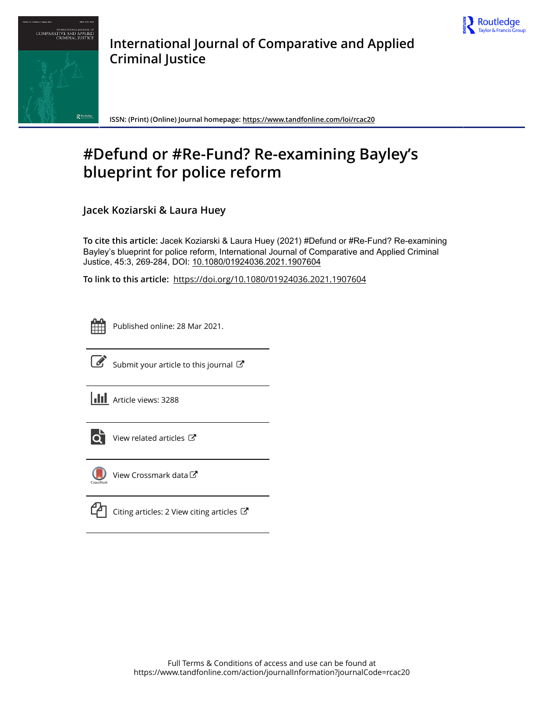



**International Journal of Comparative and Applied Criminal Justice**

**ISSN: (Print) (Online) Journal homepage:<https://www.tandfonline.com/loi/rcac20>**

# **#Defund or #Re-Fund? Re-examining Bayley's blueprint for police reform**

**Jacek Koziarski & Laura Huey**

**To cite this article:** Jacek Koziarski & Laura Huey (2021) #Defund or #Re-Fund? Re-examining Bayley's blueprint for police reform, International Journal of Comparative and Applied Criminal Justice, 45:3, 269-284, DOI: [10.1080/01924036.2021.1907604](https://www.tandfonline.com/action/showCitFormats?doi=10.1080/01924036.2021.1907604)

**To link to this article:** <https://doi.org/10.1080/01924036.2021.1907604>



Published online: 28 Mar 2021.



 $\overrightarrow{S}$  [Submit your article to this journal](https://www.tandfonline.com/action/authorSubmission?journalCode=rcac20&show=instructions)  $\overrightarrow{S}$ 

**III** Article views: 3288



[View related articles](https://www.tandfonline.com/doi/mlt/10.1080/01924036.2021.1907604)  $\mathbb{Z}$ 



[View Crossmark data](http://crossmark.crossref.org/dialog/?doi=10.1080/01924036.2021.1907604&domain=pdf&date_stamp=2021-03-28) $\mathbb{Z}$ 

[Citing articles: 2 View citing articles](https://www.tandfonline.com/doi/citedby/10.1080/01924036.2021.1907604#tabModule)  $\mathbb{Z}$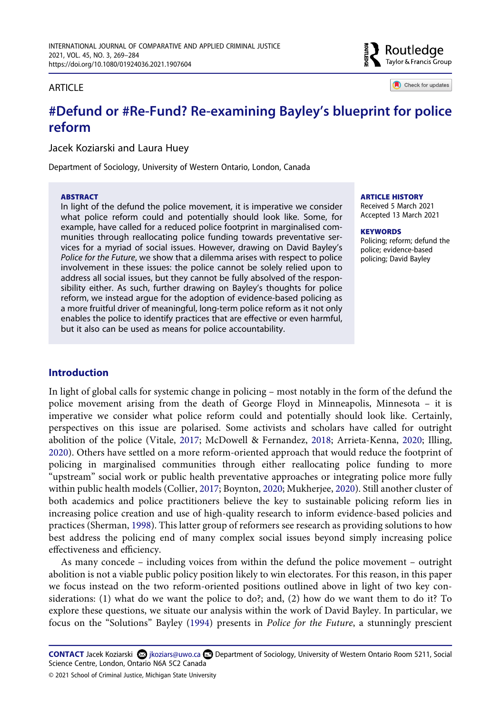

Check for updates

# **ARTICLE**

# **#Defund or #Re-Fund? Re-examining Bayley's blueprint for police reform**

Jacek Koziarski and Laura Huey

Department of Sociology, University of Western Ontario, London, Canada

#### **ABSTRACT**

In light of the defund the police movement, it is imperative we consider what police reform could and potentially should look like. Some, for example, have called for a reduced police footprint in marginalised communities through reallocating police funding towards preventative services for a myriad of social issues. However, drawing on David Bayley's *Police for the Future*, we show that a dilemma arises with respect to police involvement in these issues: the police cannot be solely relied upon to address all social issues, but they cannot be fully absolved of the responsibility either. As such, further drawing on Bayley's thoughts for police reform, we instead argue for the adoption of evidence-based policing as a more fruitful driver of meaningful, long-term police reform as it not only enables the police to identify practices that are effective or even harmful, but it also can be used as means for police accountability.

#### **ARTICLE HISTORY**

Received 5 March 2021 Accepted 13 March 2021

#### **KEYWORDS**

Policing; reform; defund the police; evidence-based policing; David Bayley

### **Introduction**

<span id="page-1-0"></span>In light of global calls for systemic change in policing – most notably in the form of the defund the police movement arising from the death of George Floyd in Minneapolis, Minnesota – it is imperative we consider what police reform could and potentially should look like. Certainly, perspectives on this issue are polarised. Some activists and scholars have called for outright abolition of the police (Vitale, [2017](#page-15-0); McDowell & Fernandez, [2018;](#page-14-0) Arrieta-Kenna, [2020;](#page-12-0) Illing, [2020](#page-13-0)). Others have settled on a more reform-oriented approach that would reduce the footprint of policing in marginalised communities through either reallocating police funding to more "upstream" social work or public health preventative approaches or integrating police more fully within public health models (Collier, [2017;](#page-12-1) Boynton, [2020](#page-12-2); Mukherjee, [2020\)](#page-14-1). Still another cluster of both academics and police practitioners believe the key to sustainable policing reform lies in increasing police creation and use of high-quality research to inform evidence-based policies and practices (Sherman, [1998\)](#page-15-1). This latter group of reformers see research as providing solutions to how best address the policing end of many complex social issues beyond simply increasing police effectiveness and efficiency.

<span id="page-1-3"></span><span id="page-1-2"></span>As many concede – including voices from within the defund the police movement – outright abolition is not a viable public policy position likely to win electorates. For this reason, in this paper we focus instead on the two reform-oriented positions outlined above in light of two key considerations: (1) what do we want the police to do?; and, (2) how do we want them to do it? To explore these questions, we situate our analysis within the work of David Bayley. In particular, we focus on the "Solutions" Bayley [\(1994](#page-12-3)) presents in *Police for the Future*, a stunningly prescient

<span id="page-1-1"></span>**CONTACT** Jacek Koziarski Øjkoziars@uwo.ca **Department of Sociology, University of Western Ontario Room 5211, Social** Science Centre, London, Ontario N6A 5C2 Canada

<sup>© 2021</sup> School of Criminal Justice, Michigan State University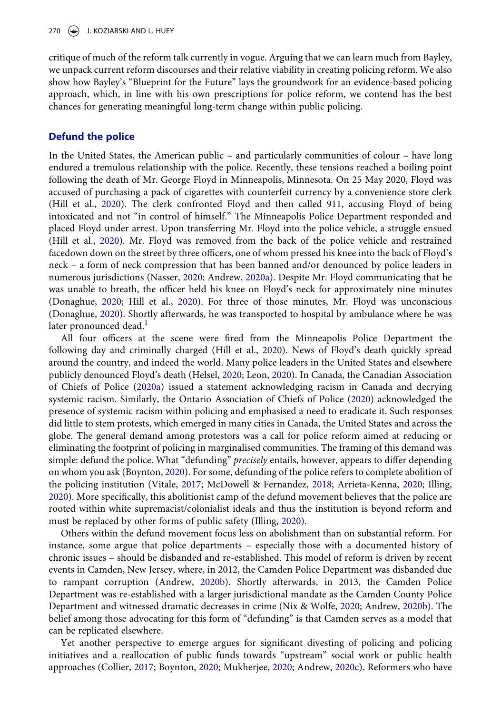critique of much of the reform talk currently in vogue. Arguing that we can learn much from Bayley, we unpack current reform discourses and their relative viability in creating policing reform. We also show how Bayley's "Blueprint for the Future" lays the groundwork for an evidence-based policing approach, which, in line with his own prescriptions for police reform, we contend has the best chances for generating meaningful long-term change within public policing.

### **Defund the police**

In the United States, the American public – and particularly communities of colour – have long endured a tremulous relationship with the police. Recently, these tensions reached a boiling point following the death of Mr. George Floyd in Minneapolis, Minnesota. On 25 May 2020, Floyd was accused of purchasing a pack of cigarettes with counterfeit currency by a convenience store clerk (Hill et al., [2020](#page-13-1)). The clerk confronted Floyd and then called 911, accusing Floyd of being intoxicated and not "in control of himself." The Minneapolis Police Department responded and placed Floyd under arrest. Upon transferring Mr. Floyd into the police vehicle, a struggle ensued (Hill et al., [2020](#page-13-1)). Mr. Floyd was removed from the back of the police vehicle and restrained facedown down on the street by three officers, one of whom pressed his knee into the back of Floyd's neck – a form of neck compression that has been banned and/or denounced by police leaders in numerous jurisdictions (Nasser, [2020](#page-14-2); Andrew, [2020a\)](#page-11-0). Despite Mr. Floyd communicating that he was unable to breath, the officer held his knee on Floyd's neck for approximately nine minutes (Donaghue, [2020;](#page-13-2) Hill et al., [2020](#page-13-1)). For three of those minutes, Mr. Floyd was unconscious (Donaghue, [2020\)](#page-13-2). Shortly afterwards, he was transported to hospital by ambulance where he was later pronounced dead.<sup>[1](#page-11-1)</sup>

<span id="page-2-7"></span><span id="page-2-6"></span><span id="page-2-5"></span><span id="page-2-4"></span><span id="page-2-3"></span><span id="page-2-0"></span>All four officers at the scene were fired from the Minneapolis Police Department the following day and criminally charged (Hill et al., [2020\)](#page-13-1). News of Floyd's death quickly spread around the country, and indeed the world. Many police leaders in the United States and elsewhere publicly denounced Floyd's death (Helsel, [2020](#page-13-3); Leon, [2020](#page-14-3)). In Canada, the Canadian Association of Chiefs of Police ([2020a](#page-12-4)) issued a statement acknowledging racism in Canada and decrying systemic racism. Similarly, the Ontario Association of Chiefs of Police ([2020\)](#page-14-4) acknowledged the presence of systemic racism within policing and emphasised a need to eradicate it. Such responses did little to stem protests, which emerged in many cities in Canada, the United States and across the globe. The general demand among protestors was a call for police reform aimed at reducing or eliminating the footprint of policing in marginalised communities. The framing of this demand was simple: defund the police. What "defunding" *precisely* entails, however, appears to differ depending on whom you ask (Boynton, [2020\)](#page-12-2). For some, defunding of the police refers to complete abolition of the policing institution (Vitale, [2017](#page-15-0); McDowell & Fernandez, [2018;](#page-14-0) Arrieta-Kenna, [2020;](#page-12-0) Illing, [2020](#page-13-0)). More specifically, this abolitionist camp of the defund movement believes that the police are rooted within white supremacist/colonialist ideals and thus the institution is beyond reform and must be replaced by other forms of public safety (Illing, [2020](#page-13-0)).

Others within the defund movement focus less on abolishment than on substantial reform. For instance, some argue that police departments – especially those with a documented history of chronic issues – should be disbanded and re-established. This model of reform is driven by recent events in Camden, New Jersey, where, in 2012, the Camden Police Department was disbanded due to rampant corruption (Andrew, [2020b](#page-11-2)). Shortly afterwards, in 2013, the Camden Police Department was re-established with a larger jurisdictional mandate as the Camden County Police Department and witnessed dramatic decreases in crime (Nix & Wolfe, [2020](#page-14-5); Andrew, [2020b](#page-11-2)). The belief among those advocating for this form of "defunding" is that Camden serves as a model that can be replicated elsewhere.

<span id="page-2-2"></span><span id="page-2-1"></span>Yet another perspective to emerge argues for significant divesting of policing and policing initiatives and a reallocation of public funds towards "upstream" social work or public health approaches (Collier, [2017](#page-12-1); Boynton, [2020](#page-12-2); Mukherjee, [2020;](#page-14-1) Andrew, [2020c\)](#page-11-3). Reformers who have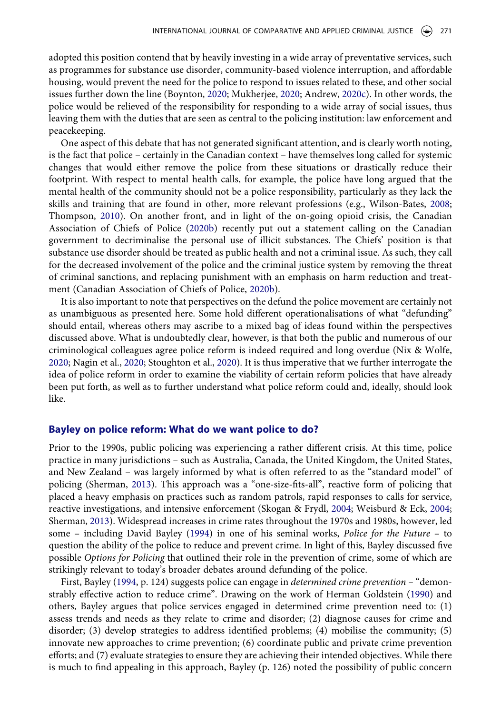adopted this position contend that by heavily investing in a wide array of preventative services, such as programmes for substance use disorder, community-based violence interruption, and affordable housing, would prevent the need for the police to respond to issues related to these, and other social issues further down the line (Boynton, [2020](#page-12-2); Mukherjee, [2020](#page-14-1); Andrew, [2020c](#page-11-3)). In other words, the police would be relieved of the responsibility for responding to a wide array of social issues, thus leaving them with the duties that are seen as central to the policing institution: law enforcement and peacekeeping.

<span id="page-3-6"></span><span id="page-3-5"></span>One aspect of this debate that has not generated significant attention, and is clearly worth noting, is the fact that police – certainly in the Canadian context – have themselves long called for systemic changes that would either remove the police from these situations or drastically reduce their footprint. With respect to mental health calls, for example, the police have long argued that the mental health of the community should not be a police responsibility, particularly as they lack the skills and training that are found in other, more relevant professions (e.g., Wilson-Bates, [2008;](#page-16-0) Thompson, [2010](#page-15-2)). On another front, and in light of the on-going opioid crisis, the Canadian Association of Chiefs of Police ([2020b\)](#page-12-5) recently put out a statement calling on the Canadian government to decriminalise the personal use of illicit substances. The Chiefs' position is that substance use disorder should be treated as public health and not a criminal issue. As such, they call for the decreased involvement of the police and the criminal justice system by removing the threat of criminal sanctions, and replacing punishment with an emphasis on harm reduction and treatment (Canadian Association of Chiefs of Police, [2020b](#page-12-5)).

<span id="page-3-2"></span><span id="page-3-0"></span>It is also important to note that perspectives on the defund the police movement are certainly not as unambiguous as presented here. Some hold different operationalisations of what "defunding" should entail, whereas others may ascribe to a mixed bag of ideas found within the perspectives discussed above. What is undoubtedly clear, however, is that both the public and numerous of our criminological colleagues agree police reform is indeed required and long overdue (Nix & Wolfe, [2020](#page-14-5); Nagin et al., [2020](#page-14-6); Stoughton et al., [2020\)](#page-15-3). It is thus imperative that we further interrogate the idea of police reform in order to examine the viability of certain reform policies that have already been put forth, as well as to further understand what police reform could and, ideally, should look like.

#### **Bayley on police reform: What do we want police to do?**

<span id="page-3-4"></span>Prior to the 1990s, public policing was experiencing a rather different crisis. At this time, police practice in many jurisdictions – such as Australia, Canada, the United Kingdom, the United States, and New Zealand – was largely informed by what is often referred to as the "standard model" of policing (Sherman, [2013\)](#page-15-4). This approach was a "one-size-fits-all", reactive form of policing that placed a heavy emphasis on practices such as random patrols, rapid responses to calls for service, reactive investigations, and intensive enforcement (Skogan & Frydl, [2004;](#page-15-5) Weisburd & Eck, [2004;](#page-15-6) Sherman, [2013\)](#page-15-4). Widespread increases in crime rates throughout the 1970s and 1980s, however, led some – including David Bayley ([1994](#page-12-3)) in one of his seminal works, *Police for the Future* – to question the ability of the police to reduce and prevent crime. In light of this, Bayley discussed five possible *Options for Policing* that outlined their role in the prevention of crime, some of which are strikingly relevant to today's broader debates around defunding of the police.

<span id="page-3-3"></span><span id="page-3-1"></span>First, Bayley ([1994](#page-12-3), p. 124) suggests police can engage in *determined crime prevention –* "demonstrably effective action to reduce crime". Drawing on the work of Herman Goldstein [\(1990](#page-13-4)) and others, Bayley argues that police services engaged in determined crime prevention need to: (1) assess trends and needs as they relate to crime and disorder; (2) diagnose causes for crime and disorder; (3) develop strategies to address identified problems; (4) mobilise the community; (5) innovate new approaches to crime prevention; (6) coordinate public and private crime prevention efforts; and (7) evaluate strategies to ensure they are achieving their intended objectives. While there is much to find appealing in this approach, Bayley (p. 126) noted the possibility of public concern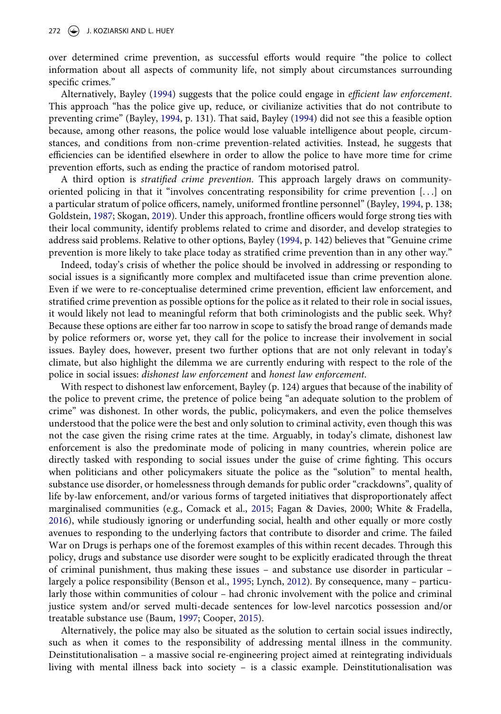over determined crime prevention, as successful efforts would require "the police to collect information about all aspects of community life, not simply about circumstances surrounding specific crimes."

Alternatively, Bayley ([1994\)](#page-12-3) suggests that the police could engage in *efficient law enforcement*. This approach "has the police give up, reduce, or civilianize activities that do not contribute to preventing crime" (Bayley, [1994](#page-12-3), p. 131). That said, Bayley ([1994](#page-12-3)) did not see this a feasible option because, among other reasons, the police would lose valuable intelligence about people, circumstances, and conditions from non-crime prevention-related activities. Instead, he suggests that efficiencies can be identified elsewhere in order to allow the police to have more time for crime prevention efforts, such as ending the practice of random motorised patrol.

<span id="page-4-3"></span>A third option is *stratified crime prevention*. This approach largely draws on communityoriented policing in that it "involves concentrating responsibility for crime prevention  $[...]$  on a particular stratum of police officers, namely, uniformed frontline personnel" (Bayley, [1994](#page-12-3), p. 138; Goldstein, [1987;](#page-13-5) Skogan, [2019\)](#page-15-7). Under this approach, frontline officers would forge strong ties with their local community, identify problems related to crime and disorder, and develop strategies to address said problems. Relative to other options, Bayley [\(1994](#page-12-3), p. 142) believes that "Genuine crime prevention is more likely to take place today as stratified crime prevention than in any other way."

Indeed, today's crisis of whether the police should be involved in addressing or responding to social issues is a significantly more complex and multifaceted issue than crime prevention alone. Even if we were to re-conceptualise determined crime prevention, efficient law enforcement, and stratified crime prevention as possible options for the police as it related to their role in social issues, it would likely not lead to meaningful reform that both criminologists and the public seek. Why? Because these options are either far too narrow in scope to satisfy the broad range of demands made by police reformers or, worse yet, they call for the police to increase their involvement in social issues. Bayley does, however, present two further options that are not only relevant in today's climate, but also highlight the dilemma we are currently enduring with respect to the role of the police in social issues: *dishonest law enforcement* and *honest law enforcement*.

<span id="page-4-2"></span>With respect to dishonest law enforcement, Bayley (p. 124) argues that because of the inability of the police to prevent crime, the pretence of police being "an adequate solution to the problem of crime" was dishonest. In other words, the public, policymakers, and even the police themselves understood that the police were the best and only solution to criminal activity, even though this was not the case given the rising crime rates at the time. Arguably, in today's climate, dishonest law enforcement is also the predominate mode of policing in many countries, wherein police are directly tasked with responding to social issues under the guise of crime fighting. This occurs when politicians and other policymakers situate the police as the "solution" to mental health, substance use disorder, or homelessness through demands for public order "crackdowns", quality of life by-law enforcement, and/or various forms of targeted initiatives that disproportionately affect marginalised communities (e.g., Comack et al., [2015;](#page-12-6) Fagan & Davies, 2000; White & Fradella, [2016](#page-15-8)), while studiously ignoring or underfunding social, health and other equally or more costly avenues to responding to the underlying factors that contribute to disorder and crime. The failed War on Drugs is perhaps one of the foremost examples of this within recent decades. Through this policy, drugs and substance use disorder were sought to be explicitly eradicated through the threat of criminal punishment, thus making these issues – and substance use disorder in particular – largely a police responsibility (Benson et al., [1995;](#page-12-7) Lynch, [2012\)](#page-14-7). By consequence, many – particularly those within communities of colour – had chronic involvement with the police and criminal justice system and/or served multi-decade sentences for low-level narcotics possession and/or treatable substance use (Baum, [1997;](#page-12-8) Cooper, [2015](#page-12-9)).

<span id="page-4-1"></span><span id="page-4-0"></span>Alternatively, the police may also be situated as the solution to certain social issues indirectly, such as when it comes to the responsibility of addressing mental illness in the community. Deinstitutionalisation – a massive social re-engineering project aimed at reintegrating individuals living with mental illness back into society – is a classic example. Deinstitutionalisation was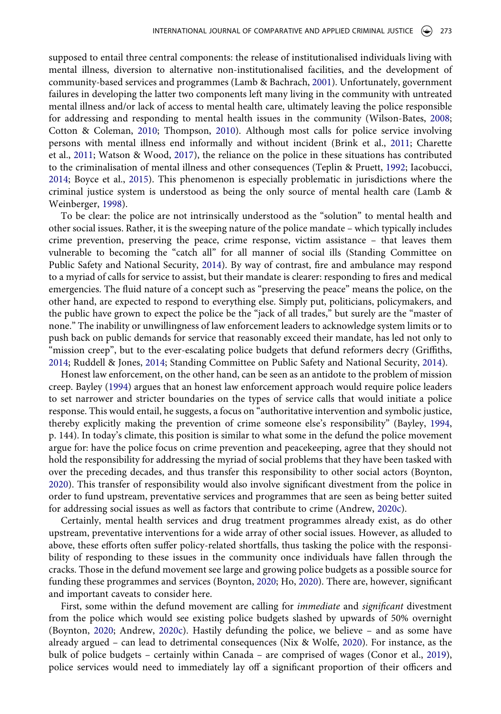<span id="page-5-9"></span><span id="page-5-4"></span>supposed to entail three central components: the release of institutionalised individuals living with mental illness, diversion to alternative non-institutionalised facilities, and the development of community-based services and programmes (Lamb & Bachrach, [2001\)](#page-13-6). Unfortunately, government failures in developing the latter two components left many living in the community with untreated mental illness and/or lack of access to mental health care, ultimately leaving the police responsible for addressing and responding to mental health issues in the community (Wilson-Bates, [2008;](#page-16-0) Cotton & Coleman, [2010;](#page-13-7) Thompson, [2010\)](#page-15-2). Although most calls for police service involving persons with mental illness end informally and without incident (Brink et al., [2011;](#page-12-10) Charette et al., [2011;](#page-12-11) Watson & Wood, [2017\)](#page-15-9), the reliance on the police in these situations has contributed to the criminalisation of mental illness and other consequences (Teplin & Pruett, [1992](#page-15-10); Iacobucci, [2014](#page-13-8); Boyce et al., [2015](#page-12-12)). This phenomenon is especially problematic in jurisdictions where the criminal justice system is understood as being the only source of mental health care (Lamb & Weinberger, [1998](#page-13-9)).

<span id="page-5-8"></span><span id="page-5-7"></span><span id="page-5-2"></span><span id="page-5-1"></span><span id="page-5-0"></span>To be clear: the police are not intrinsically understood as the "solution" to mental health and other social issues. Rather, it is the sweeping nature of the police mandate – which typically includes crime prevention, preserving the peace, crime response, victim assistance – that leaves them vulnerable to becoming the "catch all" for all manner of social ills (Standing Committee on Public Safety and National Security, [2014](#page-15-11)). By way of contrast, fire and ambulance may respond to a myriad of calls for service to assist, but their mandate is clearer: responding to fires and medical emergencies. The fluid nature of a concept such as "preserving the peace" means the police, on the other hand, are expected to respond to everything else. Simply put, politicians, policymakers, and the public have grown to expect the police be the "jack of all trades," but surely are the "master of none." The inability or unwillingness of law enforcement leaders to acknowledge system limits or to push back on public demands for service that reasonably exceed their mandate, has led not only to "mission creep", but to the ever-escalating police budgets that defund reformers decry (Griffiths, [2014](#page-13-10); Ruddell & Jones, [2014](#page-14-8); Standing Committee on Public Safety and National Security, [2014](#page-15-11)).

<span id="page-5-10"></span><span id="page-5-5"></span>Honest law enforcement, on the other hand, can be seen as an antidote to the problem of mission creep. Bayley ([1994](#page-12-3)) argues that an honest law enforcement approach would require police leaders to set narrower and stricter boundaries on the types of service calls that would initiate a police response. This would entail, he suggests, a focus on "authoritative intervention and symbolic justice, thereby explicitly making the prevention of crime someone else's responsibility" (Bayley, [1994,](#page-12-3) p. 144). In today's climate, this position is similar to what some in the defund the police movement argue for: have the police focus on crime prevention and peacekeeping, agree that they should not hold the responsibility for addressing the myriad of social problems that they have been tasked with over the preceding decades, and thus transfer this responsibility to other social actors (Boynton, [2020](#page-12-2)). This transfer of responsibility would also involve significant divestment from the police in order to fund upstream, preventative services and programmes that are seen as being better suited for addressing social issues as well as factors that contribute to crime (Andrew, [2020c](#page-11-3)).

Certainly, mental health services and drug treatment programmes already exist, as do other upstream, preventative interventions for a wide array of other social issues. However, as alluded to above, these efforts often suffer policy-related shortfalls, thus tasking the police with the responsibility of responding to these issues in the community once individuals have fallen through the cracks. Those in the defund movement see large and growing police budgets as a possible source for funding these programmes and services (Boynton, [2020;](#page-12-2) Ho, [2020](#page-13-11)). There are, however, significant and important caveats to consider here.

<span id="page-5-6"></span><span id="page-5-3"></span>First, some within the defund movement are calling for *immediate* and *significant* divestment from the police which would see existing police budgets slashed by upwards of 50% overnight (Boynton, [2020;](#page-12-2) Andrew, [2020c\)](#page-11-3). Hastily defunding the police, we believe – and as some have already argued – can lead to detrimental consequences (Nix & Wolfe, [2020\)](#page-14-5). For instance, as the bulk of police budgets – certainly within Canada – are comprised of wages (Conor et al., [2019](#page-12-13)), police services would need to immediately lay off a significant proportion of their officers and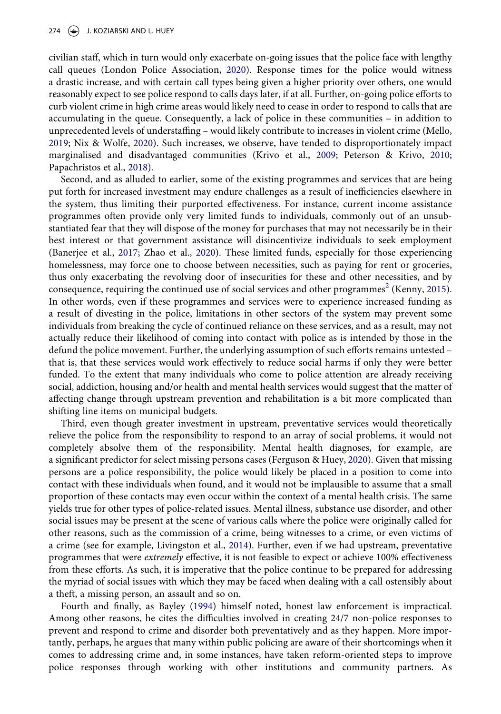<span id="page-6-5"></span>civilian staff, which in turn would only exacerbate on-going issues that the police face with lengthy call queues (London Police Association, [2020](#page-14-9)). Response times for the police would witness a drastic increase, and with certain call types being given a higher priority over others, one would reasonably expect to see police respond to calls days later, if at all. Further, on-going police efforts to curb violent crime in high crime areas would likely need to cease in order to respond to calls that are accumulating in the queue. Consequently, a lack of police in these communities – in addition to unprecedented levels of understaffing – would likely contribute to increases in violent crime (Mello, [2019](#page-14-10); Nix & Wolfe, [2020\)](#page-14-5). Such increases, we observe, have tended to disproportionately impact marginalised and disadvantaged communities (Krivo et al., [2009;](#page-13-12) Peterson & Krivo, [2010;](#page-14-11) Papachristos et al., [2018](#page-14-12)).

<span id="page-6-7"></span><span id="page-6-6"></span><span id="page-6-3"></span><span id="page-6-2"></span><span id="page-6-0"></span>Second, and as alluded to earlier, some of the existing programmes and services that are being put forth for increased investment may endure challenges as a result of inefficiencies elsewhere in the system, thus limiting their purported effectiveness. For instance, current income assistance programmes often provide only very limited funds to individuals, commonly out of an unsubstantiated fear that they will dispose of the money for purchases that may not necessarily be in their best interest or that government assistance will disincentivize individuals to seek employment (Banerjee et al., [2017;](#page-12-14) Zhao et al., [2020](#page-16-1)). These limited funds, especially for those experiencing homelessness, may force one to choose between necessities, such as paying for rent or groceries, thus only exacerbating the revolving door of insecurities for these and other necessities, and by consequence, requiring the continued use of social services and other programmes<sup>[2](#page-11-4)</sup> (Kenny, [2015](#page-13-13)). In other words, even if these programmes and services were to experience increased funding as a result of divesting in the police, limitations in other sectors of the system may prevent some individuals from breaking the cycle of continued reliance on these services, and as a result, may not actually reduce their likelihood of coming into contact with police as is intended by those in the defund the police movement. Further, the underlying assumption of such efforts remains untested – that is, that these services would work effectively to reduce social harms if only they were better funded. To the extent that many individuals who come to police attention are already receiving social, addiction, housing and/or health and mental health services would suggest that the matter of affecting change through upstream prevention and rehabilitation is a bit more complicated than shifting line items on municipal budgets.

<span id="page-6-1"></span>Third, even though greater investment in upstream, preventative services would theoretically relieve the police from the responsibility to respond to an array of social problems, it would not completely absolve them of the responsibility. Mental health diagnoses, for example, are a significant predictor for select missing persons cases (Ferguson & Huey, [2020](#page-13-14)). Given that missing persons are a police responsibility, the police would likely be placed in a position to come into contact with these individuals when found, and it would not be implausible to assume that a small proportion of these contacts may even occur within the context of a mental health crisis. The same yields true for other types of police-related issues. Mental illness, substance use disorder, and other social issues may be present at the scene of various calls where the police were originally called for other reasons, such as the commission of a crime, being witnesses to a crime, or even victims of a crime (see for example, Livingston et al., [2014\)](#page-14-13). Further, even if we had upstream, preventative programmes that were *extremely* effective, it is not feasible to expect or achieve 100% effectiveness from these efforts. As such, it is imperative that the police continue to be prepared for addressing the myriad of social issues with which they may be faced when dealing with a call ostensibly about a theft, a missing person, an assault and so on.

<span id="page-6-4"></span>Fourth and finally, as Bayley [\(1994\)](#page-12-3) himself noted, honest law enforcement is impractical. Among other reasons, he cites the difficulties involved in creating 24/7 non-police responses to prevent and respond to crime and disorder both preventatively and as they happen. More importantly, perhaps, he argues that many within public policing are aware of their shortcomings when it comes to addressing crime and, in some instances, have taken reform-oriented steps to improve police responses through working with other institutions and community partners. As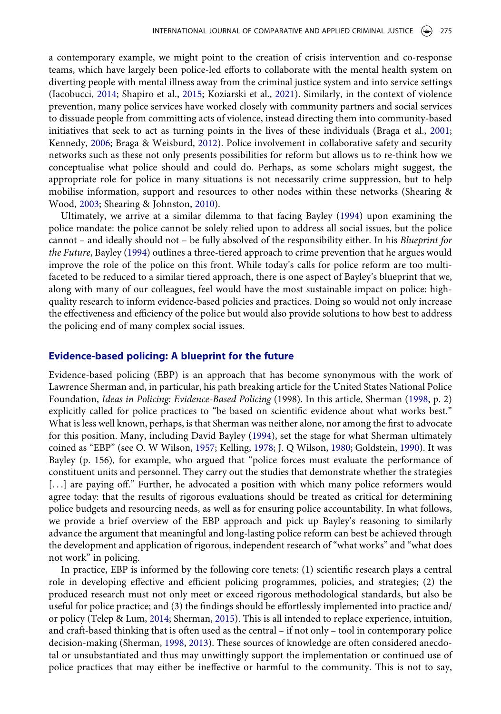<span id="page-7-3"></span><span id="page-7-0"></span>a contemporary example, we might point to the creation of crisis intervention and co-response teams, which have largely been police-led efforts to collaborate with the mental health system on diverting people with mental illness away from the criminal justice system and into service settings (Iacobucci, [2014;](#page-13-8) Shapiro et al., [2015](#page-15-12); Koziarski et al., [2021](#page-13-15)). Similarly, in the context of violence prevention, many police services have worked closely with community partners and social services to dissuade people from committing acts of violence, instead directing them into community-based initiatives that seek to act as turning points in the lives of these individuals (Braga et al., [2001;](#page-12-15) Kennedy, [2006;](#page-13-16) Braga & Weisburd, [2012](#page-12-16)). Police involvement in collaborative safety and security networks such as these not only presents possibilities for reform but allows us to re-think how we conceptualise what police should and could do. Perhaps, as some scholars might suggest, the appropriate role for police in many situations is not necessarily crime suppression, but to help mobilise information, support and resources to other nodes within these networks (Shearing & Wood, [2003](#page-15-13); Shearing & Johnston, [2010](#page-15-14)).

<span id="page-7-4"></span><span id="page-7-1"></span>Ultimately, we arrive at a similar dilemma to that facing Bayley ([1994\)](#page-12-3) upon examining the police mandate: the police cannot be solely relied upon to address all social issues, but the police cannot – and ideally should not – be fully absolved of the responsibility either. In his *Blueprint for the Future*, Bayley [\(1994\)](#page-12-3) outlines a three-tiered approach to crime prevention that he argues would improve the role of the police on this front. While today's calls for police reform are too multifaceted to be reduced to a similar tiered approach, there is one aspect of Bayley's blueprint that we, along with many of our colleagues, feel would have the most sustainable impact on police: highquality research to inform evidence-based policies and practices. Doing so would not only increase the effectiveness and efficiency of the police but would also provide solutions to how best to address the policing end of many complex social issues.

#### **Evidence-based policing: A blueprint for the future**

<span id="page-7-2"></span>Evidence-based policing (EBP) is an approach that has become synonymous with the work of Lawrence Sherman and, in particular, his path breaking article for the United States National Police Foundation, *Ideas in Policing: Evidence-Based Policing* (1998). In this article, Sherman [\(1998,](#page-15-1) p. 2) explicitly called for police practices to "be based on scientific evidence about what works best." What is less well known, perhaps, is that Sherman was neither alone, nor among the first to advocate for this position. Many, including David Bayley [\(1994](#page-12-3)), set the stage for what Sherman ultimately coined as "EBP" (see O. W Wilson, [1957;](#page-16-2) Kelling, [1978](#page-13-17); J. Q Wilson, [1980](#page-16-3); Goldstein, [1990](#page-13-4)). It was Bayley (p. 156), for example, who argued that "police forces must evaluate the performance of constituent units and personnel. They carry out the studies that demonstrate whether the strategies [...] are paying off." Further, he advocated a position with which many police reformers would agree today: that the results of rigorous evaluations should be treated as critical for determining police budgets and resourcing needs, as well as for ensuring police accountability. In what follows, we provide a brief overview of the EBP approach and pick up Bayley's reasoning to similarly advance the argument that meaningful and long-lasting police reform can best be achieved through the development and application of rigorous, independent research of "what works" and "what does not work" in policing.

<span id="page-7-5"></span>In practice, EBP is informed by the following core tenets: (1) scientific research plays a central role in developing effective and efficient policing programmes, policies, and strategies; (2) the produced research must not only meet or exceed rigorous methodological standards, but also be useful for police practice; and (3) the findings should be effortlessly implemented into practice and/ or policy (Telep & Lum, [2014;](#page-15-15) Sherman, [2015](#page-15-16)). This is all intended to replace experience, intuition, and craft-based thinking that is often used as the central – if not only – tool in contemporary police decision-making (Sherman, [1998](#page-15-1), [2013](#page-15-4)). These sources of knowledge are often considered anecdotal or unsubstantiated and thus may unwittingly support the implementation or continued use of police practices that may either be ineffective or harmful to the community. This is not to say,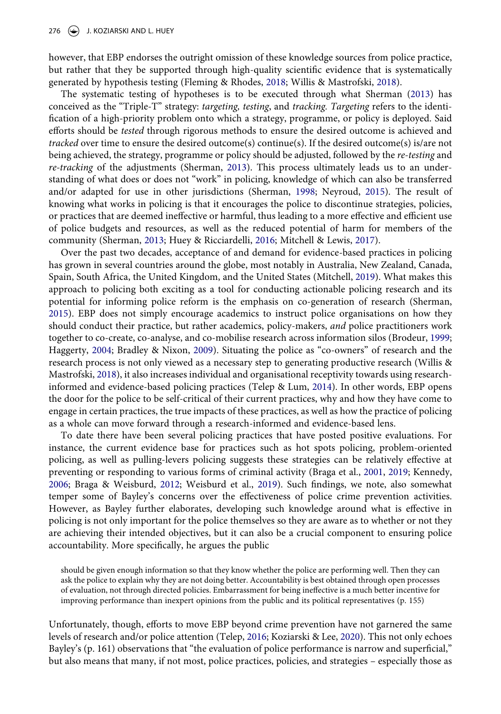however, that EBP endorses the outright omission of these knowledge sources from police practice, but rather that they be supported through high-quality scientific evidence that is systematically generated by hypothesis testing (Fleming & Rhodes, [2018](#page-13-18); Willis & Mastrofski, [2018](#page-16-4)).

<span id="page-8-3"></span>The systematic testing of hypotheses is to be executed through what Sherman [\(2013\)](#page-15-4) has conceived as the "Triple-T" strategy: *targeting, testing*, and *tracking. Targeting* refers to the identification of a high-priority problem onto which a strategy, programme, or policy is deployed. Said efforts should be *tested* through rigorous methods to ensure the desired outcome is achieved and *tracked* over time to ensure the desired outcome(s) continue(s). If the desired outcome(s) is/are not being achieved, the strategy, programme or policy should be adjusted, followed by the *re-testing* and *re-tracking* of the adjustments (Sherman, [2013\)](#page-15-4). This process ultimately leads us to an understanding of what does or does not "work" in policing, knowledge of which can also be transferred and/or adapted for use in other jurisdictions (Sherman, [1998](#page-15-1); Neyroud, [2015](#page-14-14)). The result of knowing what works in policing is that it encourages the police to discontinue strategies, policies, or practices that are deemed ineffective or harmful, thus leading to a more effective and efficient use of police budgets and resources, as well as the reduced potential of harm for members of the community (Sherman, [2013](#page-15-4); Huey & Ricciardelli, [2016;](#page-13-19) Mitchell & Lewis, [2017](#page-14-15)).

<span id="page-8-7"></span><span id="page-8-6"></span><span id="page-8-4"></span><span id="page-8-2"></span>Over the past two decades, acceptance of and demand for evidence-based practices in policing has grown in several countries around the globe, most notably in Australia, New Zealand, Canada, Spain, South Africa, the United Kingdom, and the United States (Mitchell, [2019](#page-14-16)). What makes this approach to policing both exciting as a tool for conducting actionable policing research and its potential for informing police reform is the emphasis on co-generation of research (Sherman, [2015](#page-15-16)). EBP does not simply encourage academics to instruct police organisations on how they should conduct their practice, but rather academics, policy-makers, *and* police practitioners work together to co-create, co-analyse, and co-mobilise research across information silos (Brodeur, [1999;](#page-12-17) Haggerty, [2004;](#page-13-20) Bradley & Nixon, [2009\)](#page-12-18). Situating the police as "co-owners" of research and the research process is not only viewed as a necessary step to generating productive research (Willis & Mastrofski, [2018\)](#page-16-4), it also increases individual and organisational receptivity towards using researchinformed and evidence-based policing practices (Telep & Lum, [2014\)](#page-15-15). In other words, EBP opens the door for the police to be self-critical of their current practices, why and how they have come to engage in certain practices, the true impacts of these practices, as well as how the practice of policing as a whole can move forward through a research-informed and evidence-based lens.

<span id="page-8-9"></span><span id="page-8-8"></span><span id="page-8-1"></span><span id="page-8-0"></span>To date there have been several policing practices that have posted positive evaluations. For instance, the current evidence base for practices such as hot spots policing, problem-oriented policing, as well as pulling-levers policing suggests these strategies can be relatively effective at preventing or responding to various forms of criminal activity (Braga et al., [2001](#page-12-15), [2019;](#page-12-19) Kennedy, [2006](#page-13-16); Braga & Weisburd, [2012;](#page-12-16) Weisburd et al., [2019](#page-15-17)). Such findings, we note, also somewhat temper some of Bayley's concerns over the effectiveness of police crime prevention activities. However, as Bayley further elaborates, developing such knowledge around what is effective in policing is not only important for the police themselves so they are aware as to whether or not they are achieving their intended objectives, but it can also be a crucial component to ensuring police accountability. More specifically, he argues the public

should be given enough information so that they know whether the police are performing well. Then they can ask the police to explain why they are not doing better. Accountability is best obtained through open processes of evaluation, not through directed policies. Embarrassment for being ineffective is a much better incentive for improving performance than inexpert opinions from the public and its political representatives (p. 155)

<span id="page-8-5"></span>Unfortunately, though, efforts to move EBP beyond crime prevention have not garnered the same levels of research and/or police attention (Telep, [2016](#page-15-18); Koziarski & Lee, [2020](#page-13-21)). This not only echoes Bayley's (p. 161) observations that "the evaluation of police performance is narrow and superficial," but also means that many, if not most, police practices, policies, and strategies – especially those as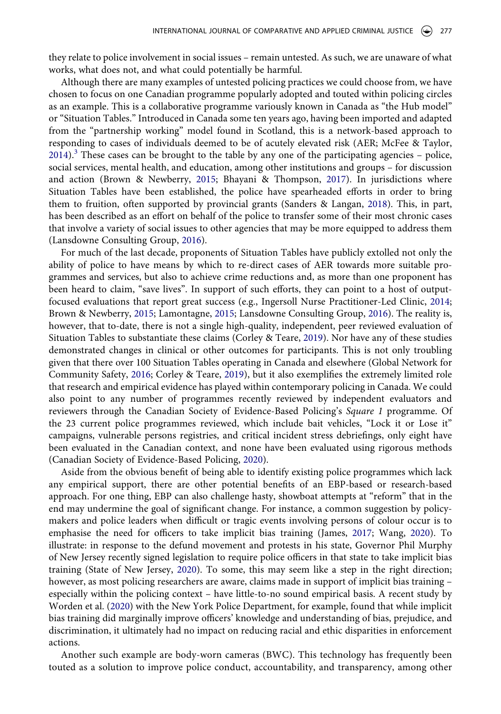they relate to police involvement in social issues – remain untested. As such, we are unaware of what works, what does not, and what could potentially be harmful.

<span id="page-9-6"></span>Although there are many examples of untested policing practices we could choose from, we have chosen to focus on one Canadian programme popularly adopted and touted within policing circles as an example. This is a collaborative programme variously known in Canada as "the Hub model" or "Situation Tables." Introduced in Canada some ten years ago, having been imported and adapted from the "partnership working" model found in Scotland, this is a network-based approach to responding to cases of individuals deemed to be of acutely elevated risk (AER; McFee & Taylor,  $2014$ ).<sup>3</sup> These cases can be brought to the table by any one of the participating agencies – police, social services, mental health, and education, among other institutions and groups – for discussion and action (Brown & Newberry, [2015](#page-12-20); Bhayani & Thompson, [2017\)](#page-12-21). In jurisdictions where Situation Tables have been established, the police have spearheaded efforts in order to bring them to fruition, often supported by provincial grants (Sanders & Langan, [2018](#page-15-19)). This, in part, has been described as an effort on behalf of the police to transfer some of their most chronic cases that involve a variety of social issues to other agencies that may be more equipped to address them (Lansdowne Consulting Group, [2016](#page-14-18)).

<span id="page-9-7"></span><span id="page-9-4"></span><span id="page-9-1"></span><span id="page-9-0"></span>For much of the last decade, proponents of Situation Tables have publicly extolled not only the ability of police to have means by which to re-direct cases of AER towards more suitable programmes and services, but also to achieve crime reductions and, as more than one proponent has been heard to claim, "save lives". In support of such efforts, they can point to a host of outputfocused evaluations that report great success (e.g., Ingersoll Nurse Practitioner-Led Clinic, [2014;](#page-13-22) Brown & Newberry, [2015](#page-12-20); Lamontagne, [2015;](#page-14-19) Lansdowne Consulting Group, [2016](#page-14-18)). The reality is, however, that to-date, there is not a single high-quality, independent, peer reviewed evaluation of Situation Tables to substantiate these claims (Corley & Teare, [2019](#page-12-22)). Nor have any of these studies demonstrated changes in clinical or other outcomes for participants. This is not only troubling given that there over 100 Situation Tables operating in Canada and elsewhere (Global Network for Community Safety, [2016](#page-13-23); Corley & Teare, [2019](#page-12-22)), but it also exemplifies the extremely limited role that research and empirical evidence has played within contemporary policing in Canada. We could also point to any number of programmes recently reviewed by independent evaluators and reviewers through the Canadian Society of Evidence-Based Policing's *Square 1* programme. Of the 23 current police programmes reviewed, which include bait vehicles, "Lock it or Lose it" campaigns, vulnerable persons registries, and critical incident stress debriefings, only eight have been evaluated in the Canadian context, and none have been evaluated using rigorous methods (Canadian Society of Evidence-Based Policing, [2020\)](#page-12-23).

<span id="page-9-5"></span><span id="page-9-3"></span><span id="page-9-2"></span>Aside from the obvious benefit of being able to identify existing police programmes which lack any empirical support, there are other potential benefits of an EBP-based or research-based approach. For one thing, EBP can also challenge hasty, showboat attempts at "reform" that in the end may undermine the goal of significant change. For instance, a common suggestion by policymakers and police leaders when difficult or tragic events involving persons of colour occur is to emphasise the need for officers to take implicit bias training (James, [2017](#page-13-24); Wang, [2020\)](#page-15-20). To illustrate: in response to the defund movement and protests in his state, Governor Phil Murphy of New Jersey recently signed legislation to require police officers in that state to take implicit bias training (State of New Jersey, [2020\)](#page-15-21). To some, this may seem like a step in the right direction; however, as most policing researchers are aware, claims made in support of implicit bias training – especially within the policing context – have little-to-no sound empirical basis. A recent study by Worden et al. ([2020\)](#page-16-5) with the New York Police Department, for example, found that while implicit bias training did marginally improve officers' knowledge and understanding of bias, prejudice, and discrimination, it ultimately had no impact on reducing racial and ethic disparities in enforcement actions.

<span id="page-9-9"></span><span id="page-9-8"></span>Another such example are body-worn cameras (BWC). This technology has frequently been touted as a solution to improve police conduct, accountability, and transparency, among other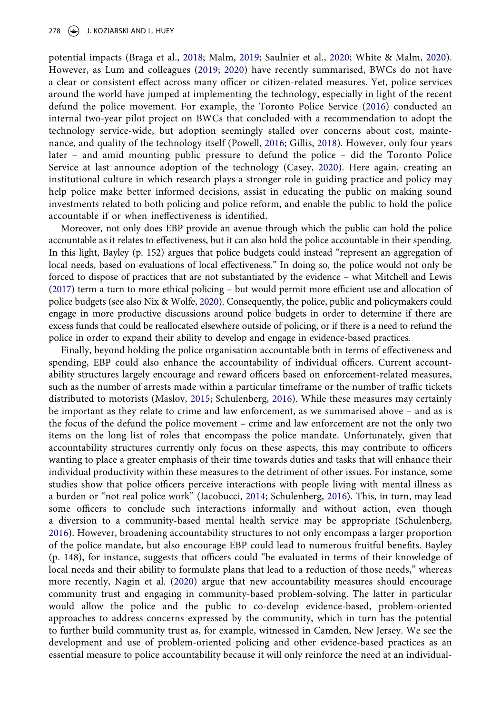<span id="page-10-6"></span><span id="page-10-3"></span><span id="page-10-2"></span><span id="page-10-0"></span>potential impacts (Braga et al., [2018;](#page-12-24) Malm, [2019](#page-14-20); Saulnier et al., [2020](#page-15-22); White & Malm, [2020](#page-15-23)). However, as Lum and colleagues ([2019;](#page-14-21) [2020](#page-14-22)) have recently summarised, BWCs do not have a clear or consistent effect across many officer or citizen-related measures. Yet, police services around the world have jumped at implementing the technology, especially in light of the recent defund the police movement. For example, the Toronto Police Service [\(2016\)](#page-15-24) conducted an internal two-year pilot project on BWCs that concluded with a recommendation to adopt the technology service-wide, but adoption seemingly stalled over concerns about cost, maintenance, and quality of the technology itself (Powell, [2016](#page-14-23); Gillis, [2018\)](#page-13-25). However, only four years later – and amid mounting public pressure to defund the police – did the Toronto Police Service at last announce adoption of the technology (Casey, [2020](#page-12-25)). Here again, creating an institutional culture in which research plays a stronger role in guiding practice and policy may help police make better informed decisions, assist in educating the public on making sound investments related to both policing and police reform, and enable the public to hold the police accountable if or when ineffectiveness is identified.

<span id="page-10-1"></span>Moreover, not only does EBP provide an avenue through which the public can hold the police accountable as it relates to effectiveness, but it can also hold the police accountable in their spending. In this light, Bayley (p. 152) argues that police budgets could instead "represent an aggregation of local needs, based on evaluations of local effectiveness." In doing so, the police would not only be forced to dispose of practices that are not substantiated by the evidence – what Mitchell and Lewis [\(2017](#page-14-15)) term a turn to more ethical policing – but would permit more efficient use and allocation of police budgets (see also Nix & Wolfe, [2020](#page-14-5)). Consequently, the police, public and policymakers could engage in more productive discussions around police budgets in order to determine if there are excess funds that could be reallocated elsewhere outside of policing, or if there is a need to refund the police in order to expand their ability to develop and engage in evidence-based practices.

<span id="page-10-5"></span><span id="page-10-4"></span>Finally, beyond holding the police organisation accountable both in terms of effectiveness and spending, EBP could also enhance the accountability of individual officers. Current accountability structures largely encourage and reward officers based on enforcement-related measures, such as the number of arrests made within a particular timeframe or the number of traffic tickets distributed to motorists (Maslov, [2015](#page-14-24); Schulenberg, [2016\)](#page-15-25). While these measures may certainly be important as they relate to crime and law enforcement, as we summarised above – and as is the focus of the defund the police movement – crime and law enforcement are not the only two items on the long list of roles that encompass the police mandate. Unfortunately, given that accountability structures currently only focus on these aspects, this may contribute to officers wanting to place a greater emphasis of their time towards duties and tasks that will enhance their individual productivity within these measures to the detriment of other issues. For instance, some studies show that police officers perceive interactions with people living with mental illness as a burden or "not real police work" (Iacobucci, [2014](#page-13-8); Schulenberg, [2016\)](#page-15-25). This, in turn, may lead some officers to conclude such interactions informally and without action, even though a diversion to a community-based mental health service may be appropriate (Schulenberg, [2016](#page-15-25)). However, broadening accountability structures to not only encompass a larger proportion of the police mandate, but also encourage EBP could lead to numerous fruitful benefits. Bayley (p. 148), for instance, suggests that officers could "be evaluated in terms of their knowledge of local needs and their ability to formulate plans that lead to a reduction of those needs," whereas more recently, Nagin et al. [\(2020\)](#page-14-6) argue that new accountability measures should encourage community trust and engaging in community-based problem-solving. The latter in particular would allow the police and the public to co-develop evidence-based, problem-oriented approaches to address concerns expressed by the community, which in turn has the potential to further build community trust as, for example, witnessed in Camden, New Jersey. We see the development and use of problem-oriented policing and other evidence-based practices as an essential measure to police accountability because it will only reinforce the need at an individual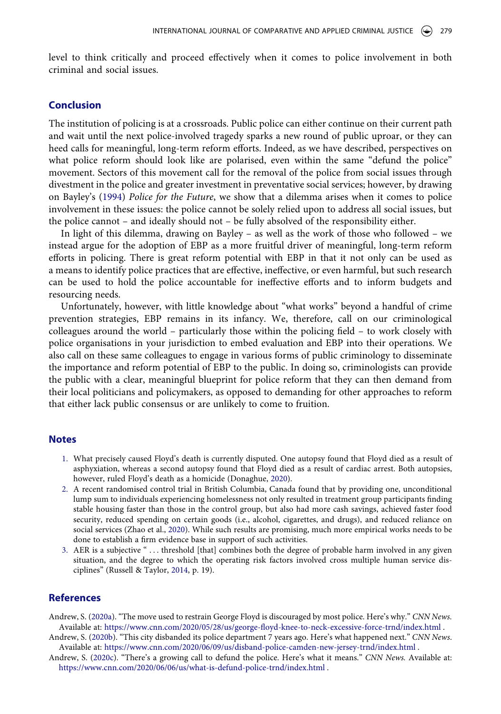level to think critically and proceed effectively when it comes to police involvement in both criminal and social issues.

## **Conclusion**

The institution of policing is at a crossroads. Public police can either continue on their current path and wait until the next police-involved tragedy sparks a new round of public uproar, or they can heed calls for meaningful, long-term reform efforts. Indeed, as we have described, perspectives on what police reform should look like are polarised, even within the same "defund the police" movement. Sectors of this movement call for the removal of the police from social issues through divestment in the police and greater investment in preventative social services; however, by drawing on Bayley's ([1994](#page-12-3)) *Police for the Future*, we show that a dilemma arises when it comes to police involvement in these issues: the police cannot be solely relied upon to address all social issues, but the police cannot – and ideally should not – be fully absolved of the responsibility either.

In light of this dilemma, drawing on Bayley – as well as the work of those who followed – we instead argue for the adoption of EBP as a more fruitful driver of meaningful, long-term reform efforts in policing. There is great reform potential with EBP in that it not only can be used as a means to identify police practices that are effective, ineffective, or even harmful, but such research can be used to hold the police accountable for ineffective efforts and to inform budgets and resourcing needs.

Unfortunately, however, with little knowledge about "what works" beyond a handful of crime prevention strategies, EBP remains in its infancy. We, therefore, call on our criminological colleagues around the world – particularly those within the policing field – to work closely with police organisations in your jurisdiction to embed evaluation and EBP into their operations. We also call on these same colleagues to engage in various forms of public criminology to disseminate the importance and reform potential of EBP to the public. In doing so, criminologists can provide the public with a clear, meaningful blueprint for police reform that they can then demand from their local politicians and policymakers, as opposed to demanding for other approaches to reform that either lack public consensus or are unlikely to come to fruition.

#### **Notes**

- <span id="page-11-1"></span>1. What precisely caused Floyd's death is currently disputed. One autopsy found that Floyd died as a result of asphyxiation, whereas a second autopsy found that Floyd died as a result of cardiac arrest. Both autopsies, however, ruled Floyd's death as a homicide (Donaghue, [2020](#page-13-2)).
- <span id="page-11-4"></span>2. A recent randomised control trial in British Columbia, Canada found that by providing one, unconditional lump sum to individuals experiencing homelessness not only resulted in treatment group participants finding stable housing faster than those in the control group, but also had more cash savings, achieved faster food security, reduced spending on certain goods (i.e., alcohol, cigarettes, and drugs), and reduced reliance on social services (Zhao et al., [2020](#page-16-1)). While such results are promising, much more empirical works needs to be done to establish a firm evidence base in support of such activities.
- <span id="page-11-6"></span><span id="page-11-5"></span>3. AER is a subjective " . . . threshold [that] combines both the degree of probable harm involved in any given situation, and the degree to which the operating risk factors involved cross multiple human service disciplines" (Russell & Taylor, [2014](#page-15-26), p. 19).

## **References**

- <span id="page-11-0"></span>Andrew, S. [\(2020a](#page-2-0)). "The move used to restrain George Floyd is discouraged by most police. Here's why." *CNN News.*  Available at: <https://www.cnn.com/2020/05/28/us/george-floyd-knee-to-neck-excessive-force-trnd/index.html> .
- <span id="page-11-2"></span>Andrew, S. [\(2020b](#page-2-1)). "This city disbanded its police department 7 years ago. Here's what happened next." *CNN News*. Available at: <https://www.cnn.com/2020/06/09/us/disband-police-camden-new-jersey-trnd/index.html> .
- <span id="page-11-3"></span>Andrew, S. ([2020c\)](#page-2-2). "There's a growing call to defund the police. Here's what it means." *CNN News.* Available at: <https://www.cnn.com/2020/06/06/us/what-is-defund-police-trnd/index.html> .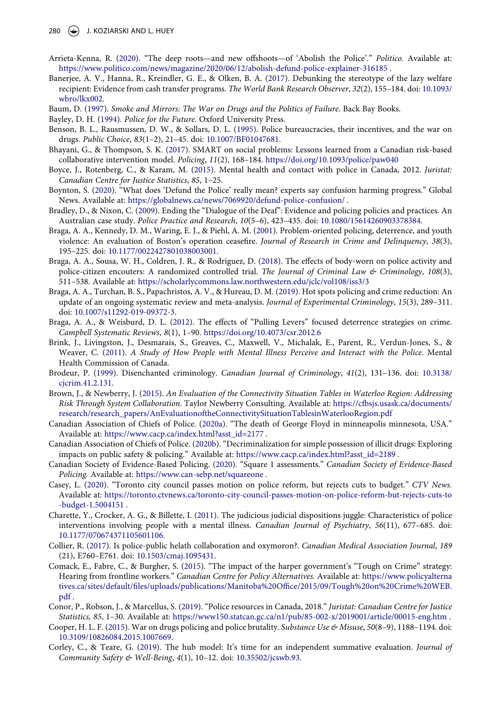- <span id="page-12-0"></span>Arrieta-Kenna, R. [\(2020\)](#page-1-0). "The deep roots—and new offshoots—of 'Abolish the Police'." *Politico.* Available at: <https://www.politico.com/news/magazine/2020/06/12/abolish-defund-police-explainer-316185>.
- <span id="page-12-14"></span>Banerjee, A. V., Hanna, R., Kreindler, G. E., & Olken, B. A. [\(2017](#page-6-0)). Debunking the stereotype of the lazy welfare recipient: Evidence from cash transfer programs. *The World Bank Research Observer*, *32*(2), 155–184. doi: [10.1093/](https://doi.org/10.1093/wbro/lkx002) [wbro/lkx002](https://doi.org/10.1093/wbro/lkx002).
- <span id="page-12-8"></span>Baum, D. [\(1997](#page-4-0)). *Smoke and Mirrors: The War on Drugs and the Politics of Failure*. Back Bay Books.
- <span id="page-12-3"></span>Bayley, D. H. ([1994](#page-1-1)). *Police for the Future*. Oxford University Press.
- <span id="page-12-7"></span>Benson, B. L., Rausmussen, D. W., & Sollars, D. L. [\(1995\)](#page-4-1). Police bureaucracies, their incentives, and the war on drugs. *Public Choice*, *83*(1–2), 21–45. doi: [10.1007/BF01047681.](https://doi.org/10.1007/BF01047681)
- <span id="page-12-21"></span>Bhayani, G., & Thompson, S. K. [\(2017](#page-9-0)). SMART on social problems: Lessons learned from a Canadian risk-based collaborative intervention model. *Policing*, *11*(2), 168–184. <https://doi.org/10.1093/police/paw040>
- <span id="page-12-12"></span>Boyce, J., Rotenberg, C., & Karam, M. [\(2015\)](#page-5-0). Mental health and contact with police in Canada, 2012. *Juristat: Canadian Centre for Justice Statistics*, *85*, 1–25.
- <span id="page-12-2"></span>Boynton, S. ([2020\)](#page-1-2). "What does 'Defund the Police' really mean? experts say confusion harming progress." Global News. Available at: <https://globalnews.ca/news/7069920/defund-police-confusion/>.
- <span id="page-12-18"></span>Bradley, D., & Nixon, C. [\(2009\)](#page-8-0). Ending the "Dialogue of the Deaf": Evidence and policing policies and practices. An Australian case study. *Police Practice and Research*, *10*(5–6), 423–435. doi: [10.1080/15614260903378384](https://doi.org/10.1080/15614260903378384).
- <span id="page-12-15"></span>Braga, A. A., Kennedy, D. M., Waring, E. J., & Piehl, A. M. ([2001\)](#page-7-0). Problem-oriented policing, deterrence, and youth violence: An evaluation of Boston's operation ceasefire. *Journal of Research in Crime and Delinquency*, *38*(3), 195–225. doi: [10.1177/0022427801038003001](https://doi.org/10.1177/0022427801038003001).
- <span id="page-12-24"></span>Braga, A. A., Sousa, W. H., Coldren, J. R., & Rodriguez, D. [\(2018\)](#page-10-0). The effects of body-worn on police activity and police-citizen encouters: A randomized controlled trial. *The Journal of Criminal Law & Criminology*, *108*(3), 511–538. Available at: <https://scholarlycommons.law.northwestern.edu/jclc/vol108/iss3/3>
- <span id="page-12-19"></span>Braga, A. A., Turchan, B. S., Papachristos, A. V., & Hureau, D. M. [\(2019\)](#page-8-1). Hot spots policing and crime reduction: An update of an ongoing systematic review and meta-analysis. *Journal of Experimental Criminology*, *15*(3), 289–311. doi: [10.1007/s11292-019-09372-3.](https://doi.org/10.1007/s11292-019-09372-3)
- <span id="page-12-16"></span>Braga, A. A., & Weisburd, D. L. [\(2012\)](#page-7-1). The effects of "Pulling Levers" focused deterrence strategies on crime. *Campbell Systematic Reviews*, *8*(1), 1–90. <https://doi.org/10.4073/csr.2012.6>
- <span id="page-12-10"></span>Brink, J., Livingston, J., Desmarais, S., Greaves, C., Maxwell, V., Michalak, E., Parent, R., Verdun-Jones, S., & Weaver, C. ([2011](#page-5-1)). *A Study of How People with Mental Illness Perceive and Interact with the Police*. Mental Health Commission of Canada.
- <span id="page-12-17"></span>Brodeur, P. [\(1999](#page-8-2)). Disenchanted criminology. *Canadian Journal of Criminology*, *41*(2), 131–136. doi: [10.3138/](https://doi.org/10.3138/cjcrim.41.2.131) [cjcrim.41.2.131](https://doi.org/10.3138/cjcrim.41.2.131).
- <span id="page-12-20"></span>Brown, J., & Newberry, J. [\(2015\)](#page-9-1). *An Evaluation of the Connectivity Situation Tables in Waterloo Region: Addressing Risk Through System Collaboration*. Taylor Newberry Consulting. Available at: [https://cfbsjs.usask.ca/documents/](https://cfbsjs.usask.ca/documents/research/research_papers/AnEvaluationoftheConnectivitySituationTablesinWaterlooRegion.pdf) [research/research\\_papers/AnEvaluationoftheConnectivitySituationTablesinWaterlooRegion.pdf](https://cfbsjs.usask.ca/documents/research/research_papers/AnEvaluationoftheConnectivitySituationTablesinWaterlooRegion.pdf)
- <span id="page-12-4"></span>Canadian Association of Chiefs of Police. [\(2020a](#page-2-3)). "The death of George Floyd in minneapolis minnesota, USA." Available at: [https://www.cacp.ca/index.html?asst\\_id=2177](https://www.cacp.ca/index.html?asst_id=2177) .
- <span id="page-12-5"></span>Canadian Association of Chiefs of Police. [\(2020b\)](#page-3-0). "Decriminalization for simple possession of illicit drugs: Exploring impacts on public safety & policing." Available at: [https://www.cacp.ca/index.html?asst\\_id=2189](https://www.cacp.ca/index.html?asst_id=2189) .
- <span id="page-12-23"></span>Canadian Society of Evidence-Based Policing. ([2020\)](#page-9-2). "Square 1 assessments." *Canadian Society of Evidence-Based Policing.* Available at: <https://www.can-sebp.net/squareone> .
- <span id="page-12-25"></span>Casey, L. ([2020](#page-10-1)). "Toronto city council passes motion on police reform, but rejects cuts to budget." *CTV News.*  Available at: [https://toronto.ctvnews.ca/toronto-city-council-passes-motion-on-police-reform-but-rejects-cuts-to](https://toronto.ctvnews.ca/toronto-city-council-passes-motion-on-police-reform-but-rejects-cuts-to-budget-1.5004151) [-budget-1.5004151](https://toronto.ctvnews.ca/toronto-city-council-passes-motion-on-police-reform-but-rejects-cuts-to-budget-1.5004151) .
- <span id="page-12-11"></span>Charette, Y., Crocker, A. G., & Billette, I. [\(2011\)](#page-5-2). The judicious judicial dispositions juggle: Characteristics of police interventions involving people with a mental illness. *Canadian Journal of Psychiatry*, *56*(11), 677–685. doi: [10.1177/070674371105601106.](https://doi.org/10.1177/070674371105601106)
- <span id="page-12-1"></span>Collier, R. [\(2017\)](#page-1-2). Is police-public helath collaboration and oxymoron?. *Canadian Medical Association Journal*, *189*  (21), E760–E761. doi: [10.1503/cmaj.1095431.](https://doi.org/10.1503/cmaj.1095431)
- <span id="page-12-6"></span>Comack, E., Fabre, C., & Burgher, S. [\(2015\)](#page-4-2). "The impact of the harper government's "Tough on Crime" strategy: Hearing from frontline workers." *Canadian Centre for Policy Alternatives.* Available at: [https://www.policyalterna](https://www.policyalternatives.ca/sites/default/files/uploads/publications/Manitoba%20Office/2015/09/Tough%20on%20Crime%20WEB.pdf) [tives.ca/sites/default/files/uploads/publications/Manitoba%20Office/2015/09/Tough%20on%20Crime%20WEB.](https://www.policyalternatives.ca/sites/default/files/uploads/publications/Manitoba%20Office/2015/09/Tough%20on%20Crime%20WEB.pdf) [pdf](https://www.policyalternatives.ca/sites/default/files/uploads/publications/Manitoba%20Office/2015/09/Tough%20on%20Crime%20WEB.pdf) .
- <span id="page-12-13"></span>Conor, P., Robson, J., & Marcellus, S. ([2019](#page-5-3)). "Police resources in Canada, 2018." *Juristat: Canadian Centre for Justice Statistics, 85*, 1–30. Available at: <https://www150.statcan.gc.ca/n1/pub/85-002-x/2019001/article/00015-eng.htm> .
- <span id="page-12-9"></span>Cooper, H. L. F. ([2015\)](#page-4-0). War on drugs policing and police brutality. *Substance Use & Misuse*, *50*(8–9), 1188–1194. doi: [10.3109/10826084.2015.1007669.](https://doi.org/10.3109/10826084.2015.1007669)
- <span id="page-12-22"></span>Corley, C., & Teare, G. ([2019](#page-9-3)). The hub model: It's time for an independent summative evaluation. *Journal of Community Safety & Well-Being*, *4*(1), 10–12. doi: [10.35502/jcswb.93](https://doi.org/10.35502/jcswb.93).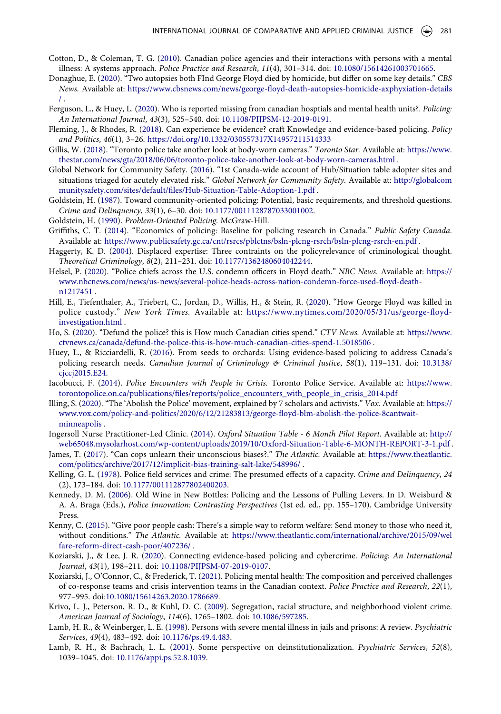- <span id="page-13-7"></span>Cotton, D., & Coleman, T. G. ([2010](#page-5-4)). Canadian police agencies and their interactions with persons with a mental illness: A systems approach. *Police Practice and Research*, *11*(4), 301–314. doi: [10.1080/15614261003701665](https://doi.org/10.1080/15614261003701665).
- <span id="page-13-2"></span>Donaghue, E. [\(2020](#page-2-4)). "Two autopsies both FInd George Floyd died by homicide, but differ on some key details." *CBS News.* Available at: [https://www.cbsnews.com/news/george-floyd-death-autopsies-homicide-axphyxiation-details](https://www.cbsnews.com/news/george-floyd-death-autopsies-homicide-axphyxiation-details/) [/](https://www.cbsnews.com/news/george-floyd-death-autopsies-homicide-axphyxiation-details/) .
- <span id="page-13-14"></span>Ferguson, L., & Huey, L. ([2020](#page-6-1)). Who is reported missing from canadian hosptials and mental health units?. *Policing: An International Journal*, *43*(3), 525–540. doi: [10.1108/PIJPSM-12-2019-0191](https://doi.org/10.1108/PIJPSM-12-2019-0191).
- <span id="page-13-18"></span>Fleming, J., & Rhodes, R. [\(2018](#page-8-3)). Can experience be evidence? craft Knowledge and evidence-based policing. *Policy and Politics*, *46*(1), 3–26. <https://doi.org/10.1332/030557317X14957211514333>
- <span id="page-13-25"></span>Gillis, W. [\(2018](#page-10-2)). "Toronto police take another look at body-worn cameras." *Toronto Star.* Available at: [https://www.](https://www.thestar.com/news/gta/2018/06/06/toronto-police-take-another-look-at-body-worn-cameras.html) [thestar.com/news/gta/2018/06/06/toronto-police-take-another-look-at-body-worn-cameras.html](https://www.thestar.com/news/gta/2018/06/06/toronto-police-take-another-look-at-body-worn-cameras.html) .
- <span id="page-13-23"></span>Global Network for Community Safety. [\(2016\)](#page-9-3). "1st Canada-wide account of Hub/Situation table adopter sites and situations triaged for acutely elevated risk." *Global Network for Community Safety.* Available at: [http://globalcom](http://globalcommunitysafety.com/sites/default/files/Hub-Situation-Table-Adoption-1.pdf) [munitysafety.com/sites/default/files/Hub-Situation-Table-Adoption-1.pdf](http://globalcommunitysafety.com/sites/default/files/Hub-Situation-Table-Adoption-1.pdf) .
- <span id="page-13-5"></span>Goldstein, H. [\(1987](#page-4-3)). Toward community-oriented policing: Potential, basic requirements, and threshold questions. *Crime and Delinquency*, *33*(1), 6–30. doi: [10.1177/0011128787033001002](https://doi.org/10.1177/0011128787033001002).
- <span id="page-13-4"></span>Goldstein, H. [\(1990\)](#page-3-1). *Problem-Oriented Policing*. McGraw-Hill.
- <span id="page-13-10"></span>Griffiths, C. T. ([2014](#page-5-5)). "Economics of policing: Baseline for policing research in Canada." *Public Safety Canada*. Available at: <https://www.publicsafety.gc.ca/cnt/rsrcs/pblctns/bsln-plcng-rsrch/bsln-plcng-rsrch-en.pdf>.
- <span id="page-13-20"></span>Haggerty, K. D. ([2004\)](#page-8-0). Displaced expertise: Three contraints on the policyrelevance of criminological thought. *Theoretical Criminology*, *8*(2), 211–231. doi: [10.1177/1362480604042244.](https://doi.org/10.1177/1362480604042244)
- <span id="page-13-3"></span>Helsel, P. [\(2020](#page-2-5)). "Police chiefs across the U.S. condemn officers in Floyd death." *NBC News.* Available at: [https://](https://www.nbcnews.com/news/us-news/several-police-heads-across-nation-condemn-force-used-floyd-death-n1217451) [www.nbcnews.com/news/us-news/several-police-heads-across-nation-condemn-force-used-floyd-death](https://www.nbcnews.com/news/us-news/several-police-heads-across-nation-condemn-force-used-floyd-death-n1217451)[n1217451](https://www.nbcnews.com/news/us-news/several-police-heads-across-nation-condemn-force-used-floyd-death-n1217451) .
- <span id="page-13-1"></span>Hill, E., Tiefenthaler, A., Triebert, C., Jordan, D., Willis, H., & Stein, R. [\(2020\)](#page-2-6). "How George Floyd was killed in police custody." *New York Times.* Available at: [https://www.nytimes.com/2020/05/31/us/george-floyd](https://www.nytimes.com/2020/05/31/us/george-floyd-investigation.html)[investigation.html](https://www.nytimes.com/2020/05/31/us/george-floyd-investigation.html) .
- <span id="page-13-11"></span>Ho, S. [\(2020\)](#page-5-6). "Defund the police? this is How much Canadian cities spend." *CTV News.* Available at: [https://www.](https://www.ctvnews.ca/canada/defund-the-police-this-is-how-much-canadian-cities-spend-1.5018506) [ctvnews.ca/canada/defund-the-police-this-is-how-much-canadian-cities-spend-1.5018506](https://www.ctvnews.ca/canada/defund-the-police-this-is-how-much-canadian-cities-spend-1.5018506) .
- <span id="page-13-19"></span>Huey, L., & Ricciardelli, R. ([2016\)](#page-8-4). From seeds to orchards: Using evidence-based policing to address Canada's policing research needs. *Canadian Journal of Criminology & Criminal Justice*, *58*(1), 119–131. doi: [10.3138/](https://doi.org/10.3138/cjccj2015.E24) [cjccj2015.E24](https://doi.org/10.3138/cjccj2015.E24).
- <span id="page-13-8"></span>Iacobucci, F. [\(2014\)](#page-5-7). *Police Encounters with People in Crisis*. Toronto Police Service. Available at: [https://www.](https://www.torontopolice.on.ca/publications/files/reports/police_encounters_with_people_in_crisis_2014.pdf) [torontopolice.on.ca/publications/files/reports/police\\_encounters\\_with\\_people\\_in\\_crisis\\_2014.pdf](https://www.torontopolice.on.ca/publications/files/reports/police_encounters_with_people_in_crisis_2014.pdf)
- <span id="page-13-0"></span>Illing, S. ([2020\)](#page-1-0). "The 'Abolish the Police' movement, explained by 7 scholars and activists." *Vox.* Available at: [https://](https://www.vox.com/policy-and-politics/2020/6/12/21283813/george-floyd-blm-abolish-the-police-8cantwait-minneapolis) [www.vox.com/policy-and-politics/2020/6/12/21283813/george-floyd-blm-abolish-the-police-8cantwait](https://www.vox.com/policy-and-politics/2020/6/12/21283813/george-floyd-blm-abolish-the-police-8cantwait-minneapolis)[minneapolis](https://www.vox.com/policy-and-politics/2020/6/12/21283813/george-floyd-blm-abolish-the-police-8cantwait-minneapolis) .
- <span id="page-13-22"></span>Ingersoll Nurse Practitioner-Led Clinic. ([2014](#page-9-4)). *Oxford Situation Table - 6 Month Pilot Report*. Available at: [http://](http://web65048.mysolarhost.com/wp-content/uploads/2019/10/Oxford-Situation-Table-6-MONTH-REPORT-3-1.pdf) [web65048.mysolarhost.com/wp-content/uploads/2019/10/Oxford-Situation-Table-6-MONTH-REPORT-3-1.pdf](http://web65048.mysolarhost.com/wp-content/uploads/2019/10/Oxford-Situation-Table-6-MONTH-REPORT-3-1.pdf) .
- <span id="page-13-24"></span>James, T. [\(2017\)](#page-9-5). "Can cops unlearn their unconscious biases?." *The Atlantic.* Available at: [https://www.theatlantic.](https://www.theatlantic.com/politics/archive/2017/12/implicit-bias-training-salt-lake/548996/) [com/politics/archive/2017/12/implicit-bias-training-salt-lake/548996/](https://www.theatlantic.com/politics/archive/2017/12/implicit-bias-training-salt-lake/548996/) .
- <span id="page-13-17"></span>Kelling, G. L. ([1978](#page-7-2)). Police field services and crime: The presumed effects of a capacity. *Crime and Delinquency*, *24*  (2), 173–184. doi: [10.1177/001112877802400203.](https://doi.org/10.1177/001112877802400203)
- <span id="page-13-16"></span>Kennedy, D. M. ([2006](#page-7-1)). Old Wine in New Bottles: Policing and the Lessons of Pulling Levers. In D. Weisburd & A. A. Braga (Eds.), *Police Innovation: Contrasting Perspectives* (1st ed. ed., pp. 155–170). Cambridge University Press.
- <span id="page-13-13"></span>Kenny, C. [\(2015](#page-6-2)). "Give poor people cash: There's a simple way to reform welfare: Send money to those who need it, without conditions." *The Atlantic.* Available at: [https://www.theatlantic.com/international/archive/2015/09/wel](https://www.theatlantic.com/international/archive/2015/09/welfare-reform-direct-cash-poor/407236/) [fare-reform-direct-cash-poor/407236/](https://www.theatlantic.com/international/archive/2015/09/welfare-reform-direct-cash-poor/407236/) .
- <span id="page-13-21"></span>Koziarski, J., & Lee, J. R. [\(2020\)](#page-8-5). Connecting evidence-based policing and cybercrime. *Policing: An International Journal*, *43*(1), 198–211. doi: [10.1108/PIJPSM-07-2019-0107](https://doi.org/10.1108/PIJPSM-07-2019-0107).
- <span id="page-13-15"></span>Koziarski, J., O'Connor, C., & Frederick, T. [\(2021\)](#page-7-3). Policing mental health: The composition and perceived challenges of co-response teams and crisis intervention teams in the Canadian context. *Police Practice and Research*, *22*(1), 977–995. doi:[10.1080/15614263.2020.1786689.](https://doi.org/10.1080/15614263.2020.1786689)
- <span id="page-13-12"></span>Krivo, L. J., Peterson, R. D., & Kuhl, D. C. [\(2009](#page-6-3)). Segregation, racial structure, and neighborhood violent crime. *American Journal of Sociology*, *114*(6), 1765–1802. doi: [10.1086/597285.](https://doi.org/10.1086/597285)
- <span id="page-13-9"></span>Lamb, H. R., & Weinberger, L. E. ([1998\)](#page-5-8). Persons with severe mental illness in jails and prisons: A review. *Psychiatric Services*, *49*(4), 483–492. doi: [10.1176/ps.49.4.483.](https://doi.org/10.1176/ps.49.4.483)
- <span id="page-13-6"></span>Lamb, R. H., & Bachrach, L. L. [\(2001\)](#page-5-9). Some perspective on deinstitutionalization. *Psychiatric Services*, *52*(8), 1039–1045. doi: [10.1176/appi.ps.52.8.1039.](https://doi.org/10.1176/appi.ps.52.8.1039)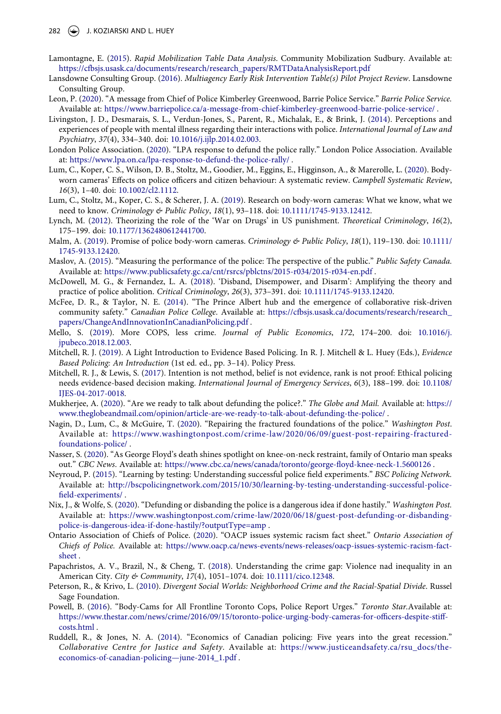- <span id="page-14-19"></span>Lamontagne, E. [\(2015\)](#page-9-1). *Rapid Mobilization Table Data Analysis*. Community Mobilization Sudbury. Available at: [https://cfbsjs.usask.ca/documents/research/research\\_papers/RMTDataAnalysisReport.pdf](https://cfbsjs.usask.ca/documents/research/research_papers/RMTDataAnalysisReport.pdf)
- <span id="page-14-18"></span>Lansdowne Consulting Group. ([2016\)](#page-9-1). *Multiagency Early Risk Intervention Table(s) Pilot Project Review*. Lansdowne Consulting Group.
- <span id="page-14-3"></span>Leon, P. ([2020](#page-2-5)). "A message from Chief of Police Kimberley Greenwood, Barrie Police Service." *Barrie Police Service.*  Available at: <https://www.barriepolice.ca/a-message-from-chief-kimberley-greenwood-barrie-police-service/> .
- <span id="page-14-13"></span>Livingston, J. D., Desmarais, S. L., Verdun-Jones, S., Parent, R., Michalak, E., & Brink, J. [\(2014\)](#page-6-4). Perceptions and experiences of people with mental illness regarding their interactions with police. *International Journal of Law and Psychiatry*, *37*(4), 334–340. doi: [10.1016/j.ijlp.2014.02.003](https://doi.org/10.1016/j.ijlp.2014.02.003).
- <span id="page-14-9"></span>London Police Association. [\(2020](#page-6-5)). "LPA response to defund the police rally." London Police Association. Available at: <https://www.lpa.on.ca/lpa-response-to-defund-the-police-rally/> .
- <span id="page-14-22"></span>Lum, C., Koper, C. S., Wilson, D. B., Stoltz, M., Goodier, M., Eggins, E., Higginson, A., & Marerolle, L. [\(2020\)](#page-10-3). Bodyworn cameras' Effects on police officers and citizen behaviour: A systematic review. *Campbell Systematic Review*, *16*(3), 1–40. doi: [10.1002/cl2.1112](https://doi.org/10.1002/cl2.1112).
- <span id="page-14-21"></span>Lum, C., Stoltz, M., Koper, C. S., & Scherer, J. A. ([2019](#page-10-3)). Research on body-worn cameras: What we know, what we need to know. *Criminology & Public Policy*, *18*(1), 93–118. doi: [10.1111/1745-9133.12412](https://doi.org/10.1111/1745-9133.12412).
- <span id="page-14-7"></span>Lynch, M. ([2012](#page-4-1)). Theorizing the role of the 'War on Drugs' in US punishment. *Theoretical Criminology*, *16*(2), 175–199. doi: [10.1177/1362480612441700](https://doi.org/10.1177/1362480612441700).
- <span id="page-14-20"></span>Malm, A. ([2019](#page-10-0)). Promise of police body-worn cameras. *Criminology & Public Policy*, *18*(1), 119–130. doi: [10.1111/](https://doi.org/10.1111/1745-9133.12420) [1745-9133.12420.](https://doi.org/10.1111/1745-9133.12420)
- <span id="page-14-24"></span>Maslov, A. [\(2015\)](#page-10-4). "Measuring the performance of the police: The perspective of the public." *Public Safety Canada.*  Available at: <https://www.publicsafety.gc.ca/cnt/rsrcs/pblctns/2015-r034/2015-r034-en.pdf>.
- <span id="page-14-0"></span>McDowell, M. G., & Fernandez, L. A. ([2018](#page-1-0)). 'Disband, Disempower, and Disarm': Amplifying the theory and practice of police abolition. *Critical Criminology*, *26*(3), 373–391. doi: [10.1111/1745-9133.12420](https://doi.org/10.1111/1745-9133.12420).
- <span id="page-14-17"></span>McFee, D. R., & Taylor, N. E. [\(2014\)](#page-9-6). "The Prince Albert hub and the emergence of collaborative risk-driven community safety." *Canadian Police College*. Available at: [https://cfbsjs.usask.ca/documents/research/research\\_](https://cfbsjs.usask.ca/documents/research/research_papers/ChangeAndInnovationInCanadianPolicing.pdf) [papers/ChangeAndInnovationInCanadianPolicing.pdf](https://cfbsjs.usask.ca/documents/research/research_papers/ChangeAndInnovationInCanadianPolicing.pdf) .
- <span id="page-14-10"></span>Mello, S. [\(2019\)](#page-6-6). More COPS, less crime. *Journal of Public Economics*, *172*, 174–200. doi: [10.1016/j.](https://doi.org/10.1016/j.jpubeco.2018.12.003) [jpubeco.2018.12.003.](https://doi.org/10.1016/j.jpubeco.2018.12.003)
- <span id="page-14-16"></span>Mitchell, R. J. [\(2019\)](#page-8-6). A Light Introduction to Evidence Based Policing. In R. J. Mitchell & L. Huey (Eds.), *Evidence Based Policing: An Introduction* (1st ed. ed., pp. 3–14). Policy Press.
- <span id="page-14-15"></span>Mitchell, R. J., & Lewis, S. [\(2017\)](#page-8-4). Intention is not method, belief is not evidence, rank is not proof: Ethical policing needs evidence-based decision making. *International Journal of Emergency Services*, *6*(3), 188–199. doi: [10.1108/](https://doi.org/10.1108/IJES-04-2017-0018) [IJES-04-2017-0018](https://doi.org/10.1108/IJES-04-2017-0018).
- <span id="page-14-1"></span>Mukherjee, A. [\(2020](#page-1-2)). "Are we ready to talk about defunding the police?." *The Globe and Mail.* Available at: [https://](https://www.theglobeandmail.com/opinion/article-are-we-ready-to-talk-about-defunding-the-police/) [www.theglobeandmail.com/opinion/article-are-we-ready-to-talk-about-defunding-the-police/](https://www.theglobeandmail.com/opinion/article-are-we-ready-to-talk-about-defunding-the-police/) .
- <span id="page-14-6"></span>Nagin, D., Lum, C., & McGuire, T. ([2020\)](#page-3-2). "Repairing the fractured foundations of the police." *Washington Post*. Available at: [https://www.washingtonpost.com/crime-law/2020/06/09/guest-post-repairing-fractured](https://www.washingtonpost.com/crime-law/2020/06/09/guest-post-repairing-fractured-foundations-police/)[foundations-police/](https://www.washingtonpost.com/crime-law/2020/06/09/guest-post-repairing-fractured-foundations-police/) .
- <span id="page-14-2"></span>Nasser, S. ([2020\)](#page-2-0). "As George Floyd's death shines spotlight on knee-on-neck restraint, family of Ontario man speaks out." *CBC News*. Available at: <https://www.cbc.ca/news/canada/toronto/george-floyd-knee-neck-1.5600126>.
- <span id="page-14-14"></span>Neyroud, P. [\(2015](#page-8-7)). "Learning by testing: Understanding successful police field experiments." *BSC Policing Network.*  Available at: [http://bscpolicingnetwork.com/2015/10/30/learning-by-testing-understanding-successful-police](http://bscpolicingnetwork.com/2015/10/30/learning-by-testing-understanding-successful-police-field-experiments/)[field-experiments/](http://bscpolicingnetwork.com/2015/10/30/learning-by-testing-understanding-successful-police-field-experiments/) .
- <span id="page-14-5"></span>Nix, J., & Wolfe, S. [\(2020](#page-2-1)). "Defunding or disbanding the police is a dangerous idea if done hastily." *Washington Post.*  Available at: [https://www.washingtonpost.com/crime-law/2020/06/18/guest-post-defunding-or-disbanding](https://www.washingtonpost.com/crime-law/2020/06/18/guest-post-defunding-or-disbanding-police-is-dangerous-idea-if-done-hastily/?outputType=amp)[police-is-dangerous-idea-if-done-hastily/?outputType=amp](https://www.washingtonpost.com/crime-law/2020/06/18/guest-post-defunding-or-disbanding-police-is-dangerous-idea-if-done-hastily/?outputType=amp) .
- <span id="page-14-4"></span>Ontario Association of Chiefs of Police. [\(2020\)](#page-2-7). "OACP issues systemic racism fact sheet." *Ontario Association of Chiefs of Police.* Available at: [https://www.oacp.ca/news-events/news-releases/oacp-issues-systemic-racism-fact](https://www.oacp.ca/news-events/news-releases/oacp-issues-systemic-racism-fact-sheet)[sheet](https://www.oacp.ca/news-events/news-releases/oacp-issues-systemic-racism-fact-sheet) .
- <span id="page-14-12"></span>Papachristos, A. V., Brazil, N., & Cheng, T. ([2018](#page-6-7)). Understanding the crime gap: Violence nad inequality in an American City. *City & Community*, *17*(4), 1051–1074. doi: [10.1111/cico.12348.](https://doi.org/10.1111/cico.12348)
- <span id="page-14-11"></span>Peterson, R., & Krivo, L. [\(2010](#page-6-3)). *Divergent Social Worlds: Neighborhood Crime and the Racial-Spatial Divide*. Russel Sage Foundation.
- <span id="page-14-23"></span>Powell, B. [\(2016](#page-10-2)). "Body-Cams for All Frontline Toronto Cops, Police Report Urges." *Toronto Star.*Available at: [https://www.thestar.com/news/crime/2016/09/15/toronto-police-urging-body-cameras-for-officers-despite-stiff](https://www.thestar.com/news/crime/2016/09/15/toronto-police-urging-body-cameras-for-officers-despite-stiff-costs.html)[costs.html](https://www.thestar.com/news/crime/2016/09/15/toronto-police-urging-body-cameras-for-officers-despite-stiff-costs.html) .
- <span id="page-14-8"></span>Ruddell, R., & Jones, N. A. [\(2014\)](#page-5-10). "Economics of Canadian policing: Five years into the great recession." *Collaborative Centre for Justice and Safety*. Available at: [https://www.justiceandsafety.ca/rsu\\_docs/the](https://www.justiceandsafety.ca/rsu_docs/the%2Deconomicse%2Dofe%2Dcanadiane%2Dpolicinge%2Djunee%2D2014_1.pdf)[economics-of-canadian-policing—june-2014\\_1.pdf](https://www.justiceandsafety.ca/rsu_docs/the%2Deconomicse%2Dofe%2Dcanadiane%2Dpolicinge%2Djunee%2D2014_1.pdf) .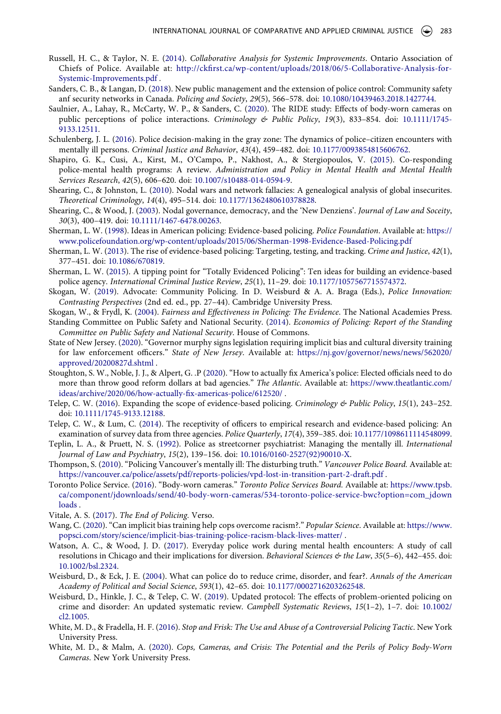- <span id="page-15-26"></span>Russell, H. C., & Taylor, N. E. ([2014](#page-11-6)). *Collaborative Analysis for Systemic Improvements*. Ontario Association of Chiefs of Police. Available at: [http://ckfirst.ca/wp-content/uploads/2018/06/5-Collaborative-Analysis-for-](http://ckfirst.ca/wp-content/uploads/2018/06/5-Collaborative-Analysis-for-Systemic-Improvements.pdf)[Systemic-Improvements.pdf](http://ckfirst.ca/wp-content/uploads/2018/06/5-Collaborative-Analysis-for-Systemic-Improvements.pdf) .
- <span id="page-15-19"></span>Sanders, C. B., & Langan, D. [\(2018\)](#page-9-7). New public management and the extension of police control: Community safety anf security networks in Canada. *Policing and Society*, *29*(5), 566–578. doi: [10.1080/10439463.2018.1427744.](https://doi.org/10.1080/10439463.2018.1427744)
- <span id="page-15-22"></span>Saulnier, A., Lahay, R., McCarty, W. P., & Sanders, C. ([2020](#page-10-0)). The RIDE study: Effects of body-worn cameras on public perceptions of police interactions. *Criminology & Public Policy*, *19*(3), 833–854. doi: [10.1111/1745-](https://doi.org/10.1111/1745-9133.12511) [9133.12511.](https://doi.org/10.1111/1745-9133.12511)
- <span id="page-15-25"></span>Schulenberg, J. L. [\(2016\)](#page-10-5). Police decision-making in the gray zone: The dynamics of police–citizen encounters with mentally ill persons. *Criminal Justice and Behavior*, *43*(4), 459–482. doi: [10.1177/0093854815606762](https://doi.org/10.1177/0093854815606762).
- <span id="page-15-12"></span>Shapiro, G. K., Cusi, A., Kirst, M., O'Campo, P., Nakhost, A., & Stergiopoulos, V. ([2015\)](#page-7-3). Co-responding police-mental health programs: A review. *Administration and Policy in Mental Health and Mental Health Services Research*, *42*(5), 606–620. doi: [10.1007/s10488-014-0594-9.](https://doi.org/10.1007/s10488-014-0594-9)
- <span id="page-15-14"></span>Shearing, C., & Johnston, L. [\(2010](#page-7-4)). Nodal wars and network fallacies: A genealogical analysis of global insecurites. *Theoretical Criminology*, *14*(4), 495–514. doi: [10.1177/1362480610378828.](https://doi.org/10.1177/1362480610378828)
- <span id="page-15-13"></span>Shearing, C., & Wood, J. ([2003](#page-7-4)). Nodal governance, democracy, and the 'New Denziens'. *Journal of Law and Soceity*, *30*(3), 400–419. doi: [10.1111/1467-6478.00263](https://doi.org/10.1111/1467-6478.00263).
- <span id="page-15-1"></span>Sherman, L. W. ([1998](#page-1-3)). Ideas in American policing: Evidence-based policing. *Police Foundation*. Available at: [https://](https://www.policefoundation.org/wp-content/uploads/2015/06/Sherman-1998-Evidence-Based-Policing.pdf) [www.policefoundation.org/wp-content/uploads/2015/06/Sherman-1998-Evidence-Based-Policing.pdf](https://www.policefoundation.org/wp-content/uploads/2015/06/Sherman-1998-Evidence-Based-Policing.pdf)
- <span id="page-15-4"></span>Sherman, L. W. ([2013](#page-3-3)). The rise of evidence-based policing: Targeting, testing, and tracking. *Crime and Justice*, *42*(1), 377–451. doi: [10.1086/670819](https://doi.org/10.1086/670819).
- <span id="page-15-16"></span>Sherman, L. W. [\(2015\)](#page-7-5). A tipping point for "Totally Evidenced Policing": Ten ideas for building an evidence-based police agency. *International Criminal Justice Review*, *25*(1), 11–29. doi: [10.1177/1057567715574372](https://doi.org/10.1177/1057567715574372).
- <span id="page-15-7"></span>Skogan, W. ([2019](#page-4-3)). Advocate: Community Policing. In D. Weisburd & A. A. Braga (Eds.), *Police Innovation: Contrasting Perspectives* (2nd ed. ed., pp. 27–44). Cambridge University Press.
- <span id="page-15-5"></span>Skogan, W., & Frydl, K. [\(2004\)](#page-3-4). *Fairness and Effectiveness in Policing: The Evidence*. The National Academies Press.
- <span id="page-15-11"></span>Standing Committee on Public Safety and National Security. [\(2014](#page-5-10)). *Economics of Policing: Report of the Standing Committee on Public Safety and National Security*. House of Commons.
- <span id="page-15-21"></span>State of New Jersey. ([2020\)](#page-9-8). "Governor murphy signs legislation requiring implicit bias and cultural diversity training for law enforcement officers." *State of New Jersey*. Available at: [https://nj.gov/governor/news/news/562020/](https://nj.gov/governor/news/news/562020/approved/20200827d.shtml) [approved/20200827d.shtml](https://nj.gov/governor/news/news/562020/approved/20200827d.shtml) .
- <span id="page-15-3"></span>Stoughton, S. W., Noble, J. J., & Alpert, G. .P ([2020](#page-3-2)). "How to actually fix America's police: Elected officials need to do more than throw good reform dollars at bad agencies." *The Atlantic*. Available at: [https://www.theatlantic.com/](https://www.theatlantic.com/ideas/archive/2020/06/how-actually-fix-americas-police/612520/) [ideas/archive/2020/06/how-actually-fix-americas-police/612520/](https://www.theatlantic.com/ideas/archive/2020/06/how-actually-fix-americas-police/612520/) .
- <span id="page-15-18"></span>Telep, C. W. [\(2016](#page-8-5)). Expanding the scope of evidence-based policing. *Criminology & Public Policy*, *15*(1), 243–252. doi: [10.1111/1745-9133.12188.](https://doi.org/10.1111/1745-9133.12188)
- <span id="page-15-15"></span>Telep, C. W., & Lum, C. ([2014](#page-7-5)). The receptivity of officers to empirical research and evidence-based policing: An examination of survey data from three agencies. *Police Quarterly*, *17*(4), 359–385. doi: [10.1177/1098611114548099](https://doi.org/10.1177/1098611114548099).
- <span id="page-15-10"></span>Teplin, L. A., & Pruett, N. S. [\(1992](#page-5-7)). Police as streetcorner psychiatrist: Managing the mentally ill. *International Journal of Law and Psychiatry*, *15*(2), 139–156. doi: [10.1016/0160-2527\(92\)90010-X.](https://doi.org/10.1016/0160-2527(92)90010-X)
- <span id="page-15-2"></span>Thompson, S. [\(2010](#page-3-5)). "Policing Vancouver's mentally ill: The disturbing truth." *Vancouver Police Board.* Available at: <https://vancouver.ca/police/assets/pdf/reports-policies/vpd-lost-in-transition-part-2-draft.pdf>.
- <span id="page-15-24"></span>Toronto Police Service. ([2016](#page-10-6)). "Body-worn cameras." *Toronto Police Services Board.* Available at: [https://www.tpsb.](https://www.tpsb.ca/component/jdownloads/send/40-body-worn-cameras/534-toronto-police-service-bwc?option=com_jdownloads) [ca/component/jdownloads/send/40-body-worn-cameras/534-toronto-police-service-bwc?option=com\\_jdown](https://www.tpsb.ca/component/jdownloads/send/40-body-worn-cameras/534-toronto-police-service-bwc?option=com_jdownloads) [loads](https://www.tpsb.ca/component/jdownloads/send/40-body-worn-cameras/534-toronto-police-service-bwc?option=com_jdownloads) .
- <span id="page-15-0"></span>Vitale, A. S. [\(2017](#page-1-0)). *The End of Policing*. Verso.
- <span id="page-15-20"></span>Wang, C. ([2020\)](#page-9-5). "Can implicit bias training help cops overcome racism?." *Popular Science*. Available at: [https://www.](https://www.popsci.com/story/science/implicit-bias-training-police-racism-black-lives-matter/) [popsci.com/story/science/implicit-bias-training-police-racism-black-lives-matter/](https://www.popsci.com/story/science/implicit-bias-training-police-racism-black-lives-matter/) .
- <span id="page-15-9"></span>Watson, A. C., & Wood, J. D. [\(2017\)](#page-5-2). Everyday police work during mental health encounters: A study of call resolutions in Chicago and their implications for diversion. *Behavioral Sciences & the Law*, *35*(5–6), 442–455. doi: [10.1002/bsl.2324](https://doi.org/10.1002/bsl.2324).
- <span id="page-15-6"></span>Weisburd, D., & Eck, J. E. [\(2004\)](#page-3-4). What can police do to reduce crime, disorder, and fear?. *Annals of the American Academy of Political and Social Science*, *593*(1), 42–65. doi: [10.1177/0002716203262548.](https://doi.org/10.1177/0002716203262548)
- <span id="page-15-17"></span>Weisburd, D., Hinkle, J. C., & Telep, C. W. [\(2019](#page-8-8)). Updated protocol: The effects of problem-oriented policing on crime and disorder: An updated systematic review. *Campbell Systematic Reviews*, *15*(1–2), 1–7. doi: [10.1002/](https://doi.org/10.1002/cl2.1005) [cl2.1005](https://doi.org/10.1002/cl2.1005).
- <span id="page-15-8"></span>White, M. D., & Fradella, H. F. [\(2016\)](#page-4-2). *Stop and Frisk: The Use and Abuse of a Controversial Policing Tactic*. New York University Press.
- <span id="page-15-23"></span>White, M. D., & Malm, A. ([2020\)](#page-10-0). *Cops, Cameras, and Crisis: The Potential and the Perils of Policy Body-Worn Cameras*. New York University Press.